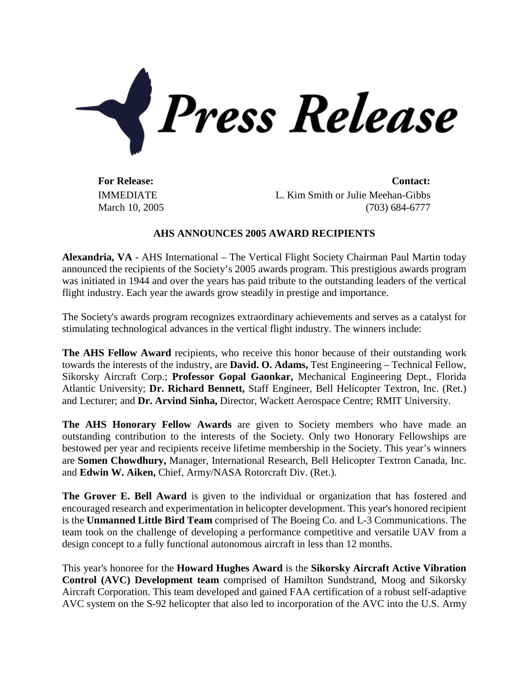

IMMEDIATE March 10, 2005

**For Release: Contact:** L. Kim Smith or Julie Meehan-Gibbs (703) 684-6777

## **AHS ANNOUNCES 2005 AWARD RECIPIENTS**

**Alexandria, VA** - AHS International – The Vertical Flight Society Chairman Paul Martin today announced the recipients of the Society's 2005 awards program. This prestigious awards program was initiated in 1944 and over the years has paid tribute to the outstanding leaders of the vertical flight industry. Each year the awards grow steadily in prestige and importance.

The Society's awards program recognizes extraordinary achievements and serves as a catalyst for stimulating technological advances in the vertical flight industry. The winners include:

**The AHS Fellow Award** recipients, who receive this honor because of their outstanding work towards the interests of the industry, are **David. O. Adams,** Test Engineering – Technical Fellow, Sikorsky Aircraft Corp.; **Professor Gopal Gaonkar,** Mechanical Engineering Dept., Florida Atlantic University; **Dr. Richard Bennett,** Staff Engineer, Bell Helicopter Textron, Inc. (Ret.) and Lecturer; and **Dr. Arvind Sinha,** Director, Wackett Aerospace Centre; RMIT University.

**The AHS Honorary Fellow Awards** are given to Society members who have made an outstanding contribution to the interests of the Society. Only two Honorary Fellowships are bestowed per year and recipients receive lifetime membership in the Society. This year's winners are **Somen Chowdhury,** Manager, International Research, Bell Helicopter Textron Canada, Inc. and **Edwin W. Aiken,** Chief, Army/NASA Rotorcraft Div. (Ret.).

**The Grover E. Bell Award** is given to the individual or organization that has fostered and encouraged research and experimentation in helicopter development. This year's honored recipient is the **Unmanned Little Bird Team** comprised of The Boeing Co. and L-3 Communications. The team took on the challenge of developing a performance competitive and versatile UAV from a design concept to a fully functional autonomous aircraft in less than 12 months.

This year's honoree for the **Howard Hughes Award** is the **Sikorsky Aircraft Active Vibration Control (AVC) Development team** comprised of Hamilton Sundstrand, Moog and Sikorsky Aircraft Corporation. This team developed and gained FAA certification of a robust self-adaptive AVC system on the S-92 helicopter that also led to incorporation of the AVC into the U.S. Army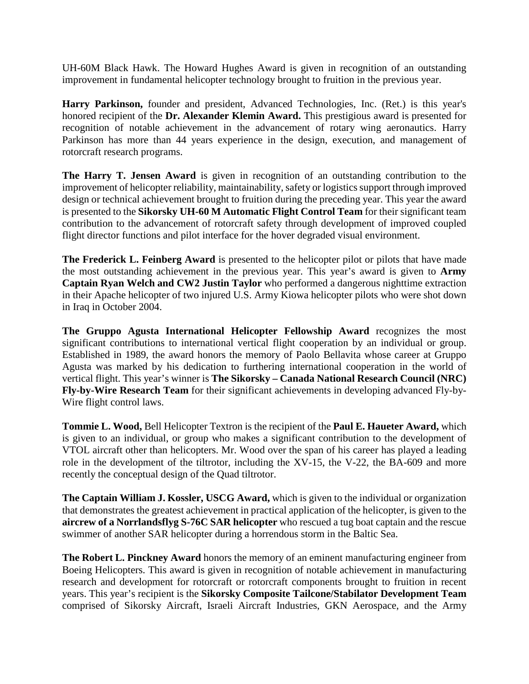UH-60M Black Hawk. The Howard Hughes Award is given in recognition of an outstanding improvement in fundamental helicopter technology brought to fruition in the previous year.

**Harry Parkinson,** founder and president, Advanced Technologies, Inc. (Ret.) is this year's honored recipient of the **Dr. Alexander Klemin Award.** This prestigious award is presented for recognition of notable achievement in the advancement of rotary wing aeronautics. Harry Parkinson has more than 44 years experience in the design, execution, and management of rotorcraft research programs.

**The Harry T. Jensen Award** is given in recognition of an outstanding contribution to the improvement of helicopter reliability, maintainability, safety or logistics support through improved design or technical achievement brought to fruition during the preceding year. This year the award is presented to the **Sikorsky UH-60 M Automatic Flight Control Team** for their significant team contribution to the advancement of rotorcraft safety through development of improved coupled flight director functions and pilot interface for the hover degraded visual environment.

**The Frederick L. Feinberg Award** is presented to the helicopter pilot or pilots that have made the most outstanding achievement in the previous year. This year's award is given to **Army Captain Ryan Welch and CW2 Justin Taylor** who performed a dangerous nighttime extraction in their Apache helicopter of two injured U.S. Army Kiowa helicopter pilots who were shot down in Iraq in October 2004.

**The Gruppo Agusta International Helicopter Fellowship Award** recognizes the most significant contributions to international vertical flight cooperation by an individual or group. Established in 1989, the award honors the memory of Paolo Bellavita whose career at Gruppo Agusta was marked by his dedication to furthering international cooperation in the world of vertical flight. This year's winner is **The Sikorsky – Canada National Research Council (NRC) Fly-by-Wire Research Team** for their significant achievements in developing advanced Fly-by-Wire flight control laws.

**Tommie L. Wood,** Bell Helicopter Textron is the recipient of the **Paul E. Haueter Award,** which is given to an individual, or group who makes a significant contribution to the development of VTOL aircraft other than helicopters. Mr. Wood over the span of his career has played a leading role in the development of the tiltrotor, including the XV-15, the V-22, the BA-609 and more recently the conceptual design of the Quad tiltrotor.

**The Captain William J. Kossler, USCG Award,** which is given to the individual or organization that demonstrates the greatest achievement in practical application of the helicopter, is given to the **aircrew of a Norrlandsflyg S-76C SAR helicopter** who rescued a tug boat captain and the rescue swimmer of another SAR helicopter during a horrendous storm in the Baltic Sea.

**The Robert L. Pinckney Award** honors the memory of an eminent manufacturing engineer from Boeing Helicopters. This award is given in recognition of notable achievement in manufacturing research and development for rotorcraft or rotorcraft components brought to fruition in recent years. This year's recipient is the **Sikorsky Composite Tailcone/Stabilator Development Team** comprised of Sikorsky Aircraft, Israeli Aircraft Industries, GKN Aerospace, and the Army